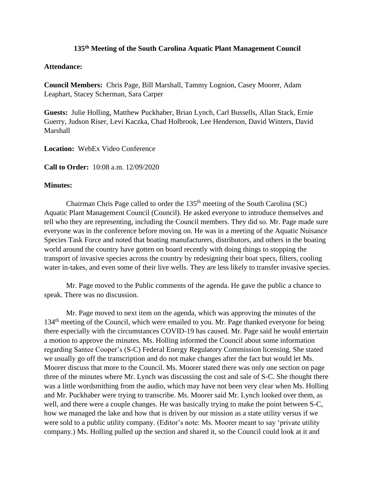## **135 th Meeting of the South Carolina Aquatic Plant Management Council**

## **Attendance:**

**Council Members:** Chris Page, Bill Marshall, Tammy Lognion, Casey Moorer, Adam Leaphart, Stacey Scherman, Sara Carper

**Guests:** Julie Holling, Matthew Puckhaber, Brian Lynch, Carl Bussells, Allan Stack, Ernie Guerry, Judson Riser, Levi Kaczka, Chad Holbrook, Lee Henderson, David Winters, David Marshall

**Location:** WebEx Video Conference

**Call to Order:** 10:08 a.m. 12/09/2020

## **Minutes:**

Chairman Chris Page called to order the  $135<sup>th</sup>$  meeting of the South Carolina (SC) Aquatic Plant Management Council (Council). He asked everyone to introduce themselves and tell who they are representing, including the Council members. They did so. Mr. Page made sure everyone was in the conference before moving on. He was in a meeting of the Aquatic Nuisance Species Task Force and noted that boating manufacturers, distributors, and others in the boating world around the country have gotten on board recently with doing things to stopping the transport of invasive species across the country by redesigning their boat specs, filters, cooling water in-takes, and even some of their live wells. They are less likely to transfer invasive species.

Mr. Page moved to the Public comments of the agenda. He gave the public a chance to speak. There was no discussion.

Mr. Page moved to next item on the agenda, which was approving the minutes of the 134<sup>th</sup> meeting of the Council, which were emailed to you. Mr. Page thanked everyone for being there especially with the circumstances COVID-19 has caused. Mr. Page said he would entertain a motion to approve the minutes. Ms. Holling informed the Council about some information regarding Santee Cooper's (S-C) Federal Energy Regulatory Commission licensing. She stated we usually go off the transcription and do not make changes after the fact but would let Ms. Moorer discuss that more to the Council. Ms. Moorer stated there was only one section on page three of the minutes where Mr. Lynch was discussing the cost and sale of S-C. She thought there was a little wordsmithing from the audio, which may have not been very clear when Ms. Holling and Mr. Puckhaber were trying to transcribe. Ms. Moorer said Mr. Lynch looked over them, as well, and there were a couple changes. He was basically trying to make the point between S-C, how we managed the lake and how that is driven by our mission as a state utility versus if we were sold to a public utility company. (Editor's note: Ms. Moorer meant to say 'private utility company.) Ms. Holling pulled up the section and shared it, so the Council could look at it and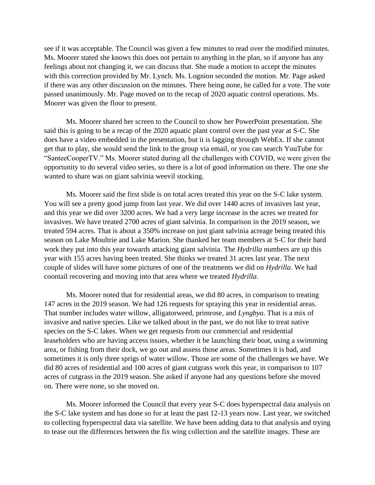see if it was acceptable. The Council was given a few minutes to read over the modified minutes. Ms. Moorer stated she knows this does not pertain to anything in the plan, so if anyone has any feelings about not changing it, we can discuss that. She made a motion to accept the minutes with this correction provided by Mr. Lynch. Ms. Lognion seconded the motion. Mr. Page asked if there was any other discussion on the minutes. There being none, he called for a vote. The vote passed unanimously. Mr. Page moved on to the recap of 2020 aquatic control operations. Ms. Moorer was given the floor to present.

Ms. Moorer shared her screen to the Council to show her PowerPoint presentation. She said this is going to be a recap of the 2020 aquatic plant control over the past year at S-C. She does have a video embedded in the presentation, but it is lagging through WebEx. If she cannot get that to play, she would send the link to the group via email, or you can search YouTube for "SanteeCooperTV." Ms. Moorer stated during all the challenges with COVID, we were given the opportunity to do several video series, so there is a lot of good information on there. The one she wanted to share was on giant salvinia weevil stocking.

Ms. Moorer said the first slide is on total acres treated this year on the S-C lake system. You will see a pretty good jump from last year. We did over 1440 acres of invasives last year, and this year we did over 3200 acres. We had a very large increase in the acres we treated for invasives. We have treated 2700 acres of giant salvinia. In comparison in the 2019 season, we treated 594 acres. That is about a 350% increase on just giant salvinia acreage being treated this season on Lake Moultrie and Lake Marion. She thanked her team members at S-C for their hard work they put into this year towards attacking giant salvinia. The *Hydrilla* numbers are up this year with 155 acres having been treated. She thinks we treated 31 acres last year. The next couple of slides will have some pictures of one of the treatments we did on *Hydrilla*. We had coontail recovering and moving into that area where we treated *Hydrilla*.

Ms. Moorer noted that for residential areas, we did 80 acres, in comparison to treating 147 acres in the 2019 season. We had 126 requests for spraying this year in residential areas. That number includes water willow, alligatorweed, primrose, and *Lyngbya*. That is a mix of invasive and native species. Like we talked about in the past, we do not like to treat native species on the S-C lakes. When we get requests from our commercial and residential leaseholders who are having access issues, whether it be launching their boat, using a swimming area, or fishing from their dock, we go out and assess those areas. Sometimes it is bad, and sometimes it is only three sprigs of water willow. Those are some of the challenges we have. We did 80 acres of residential and 100 acres of giant cutgrass work this year, in comparison to 107 acres of cutgrass in the 2019 season. She asked if anyone had any questions before she moved on. There were none, so she moved on.

Ms. Moorer informed the Council that every year S-C does hyperspectral data analysis on the S-C lake system and has done so for at least the past 12-13 years now. Last year, we switched to collecting hyperspectral data via satellite. We have been adding data to that analysis and trying to tease out the differences between the fix wing collection and the satellite images. These are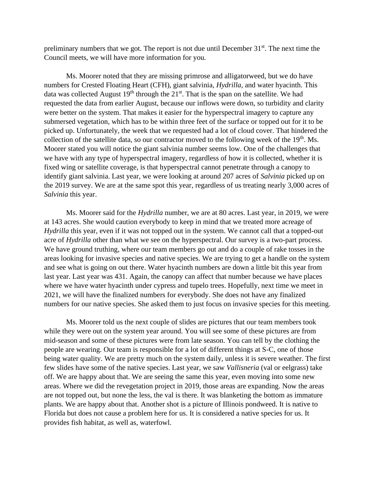preliminary numbers that we got. The report is not due until December  $31<sup>st</sup>$ . The next time the Council meets, we will have more information for you.

Ms. Moorer noted that they are missing primrose and alligatorweed, but we do have numbers for Crested Floating Heart (CFH), giant salvinia, *Hydrilla*, and water hyacinth. This data was collected August  $19<sup>th</sup>$  through the  $21<sup>st</sup>$ . That is the span on the satellite. We had requested the data from earlier August, because our inflows were down, so turbidity and clarity were better on the system. That makes it easier for the hyperspectral imagery to capture any submersed vegetation, which has to be within three feet of the surface or topped out for it to be picked up. Unfortunately, the week that we requested had a lot of cloud cover. That hindered the collection of the satellite data, so our contractor moved to the following week of the  $19<sup>th</sup>$ . Ms. Moorer stated you will notice the giant salvinia number seems low. One of the challenges that we have with any type of hyperspectral imagery, regardless of how it is collected, whether it is fixed wing or satellite coverage, is that hyperspectral cannot penetrate through a canopy to identify giant salvinia. Last year, we were looking at around 207 acres of *Salvinia* picked up on the 2019 survey. We are at the same spot this year, regardless of us treating nearly 3,000 acres of *Salvinia* this year.

Ms. Moorer said for the *Hydrilla* number, we are at 80 acres. Last year, in 2019, we were at 143 acres. She would caution everybody to keep in mind that we treated more acreage of *Hydrilla* this year, even if it was not topped out in the system. We cannot call that a topped-out acre of *Hydrilla* other than what we see on the hyperspectral. Our survey is a two-part process. We have ground truthing, where our team members go out and do a couple of rake tosses in the areas looking for invasive species and native species. We are trying to get a handle on the system and see what is going on out there. Water hyacinth numbers are down a little bit this year from last year. Last year was 431. Again, the canopy can affect that number because we have places where we have water hyacinth under cypress and tupelo trees. Hopefully, next time we meet in 2021, we will have the finalized numbers for everybody. She does not have any finalized numbers for our native species. She asked them to just focus on invasive species for this meeting.

Ms. Moorer told us the next couple of slides are pictures that our team members took while they were out on the system year around. You will see some of these pictures are from mid-season and some of these pictures were from late season. You can tell by the clothing the people are wearing. Our team is responsible for a lot of different things at S-C, one of those being water quality. We are pretty much on the system daily, unless it is severe weather. The first few slides have some of the native species. Last year, we saw *Vallisneria* (val or eelgrass) take off. We are happy about that. We are seeing the same this year, even moving into some new areas. Where we did the revegetation project in 2019, those areas are expanding. Now the areas are not topped out, but none the less, the val is there. It was blanketing the bottom as immature plants. We are happy about that. Another shot is a picture of Illinois pondweed. It is native to Florida but does not cause a problem here for us. It is considered a native species for us. It provides fish habitat, as well as, waterfowl.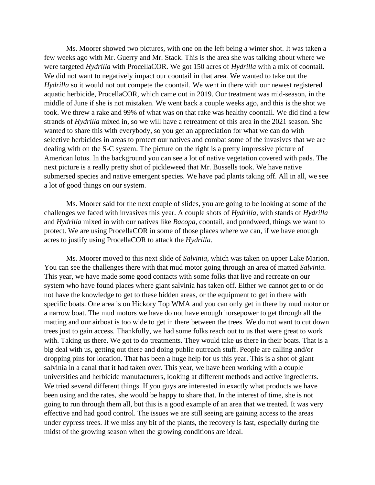Ms. Moorer showed two pictures, with one on the left being a winter shot. It was taken a few weeks ago with Mr. Guerry and Mr. Stack. This is the area she was talking about where we were targeted *Hydrilla* with ProcellaCOR. We got 150 acres of *Hydrilla* with a mix of coontail. We did not want to negatively impact our coontail in that area. We wanted to take out the *Hydrilla* so it would not out compete the coontail. We went in there with our newest registered aquatic herbicide, ProcellaCOR, which came out in 2019. Our treatment was mid-season, in the middle of June if she is not mistaken. We went back a couple weeks ago, and this is the shot we took. We threw a rake and 99% of what was on that rake was healthy coontail. We did find a few strands of *Hydrilla* mixed in, so we will have a retreatment of this area in the 2021 season. She wanted to share this with everybody, so you get an appreciation for what we can do with selective herbicides in areas to protect our natives and combat some of the invasives that we are dealing with on the S-C system. The picture on the right is a pretty impressive picture of American lotus. In the background you can see a lot of native vegetation covered with pads. The next picture is a really pretty shot of pickleweed that Mr. Bussells took. We have native submersed species and native emergent species. We have pad plants taking off. All in all, we see a lot of good things on our system.

Ms. Moorer said for the next couple of slides, you are going to be looking at some of the challenges we faced with invasives this year. A couple shots of *Hydrilla*, with stands of *Hydrilla* and *Hydrilla* mixed in with our natives like *Bacopa*, coontail, and pondweed, things we want to protect. We are using ProcellaCOR in some of those places where we can, if we have enough acres to justify using ProcellaCOR to attack the *Hydrilla*.

Ms. Moorer moved to this next slide of *Salvinia*, which was taken on upper Lake Marion. You can see the challenges there with that mud motor going through an area of matted *Salvinia*. This year, we have made some good contacts with some folks that live and recreate on our system who have found places where giant salvinia has taken off. Either we cannot get to or do not have the knowledge to get to these hidden areas, or the equipment to get in there with specific boats. One area is on Hickory Top WMA and you can only get in there by mud motor or a narrow boat. The mud motors we have do not have enough horsepower to get through all the matting and our airboat is too wide to get in there between the trees. We do not want to cut down trees just to gain access. Thankfully, we had some folks reach out to us that were great to work with. Taking us there. We got to do treatments. They would take us there in their boats. That is a big deal with us, getting out there and doing public outreach stuff. People are calling and/or dropping pins for location. That has been a huge help for us this year. This is a shot of giant salvinia in a canal that it had taken over. This year, we have been working with a couple universities and herbicide manufacturers, looking at different methods and active ingredients. We tried several different things. If you guys are interested in exactly what products we have been using and the rates, she would be happy to share that. In the interest of time, she is not going to run through them all, but this is a good example of an area that we treated. It was very effective and had good control. The issues we are still seeing are gaining access to the areas under cypress trees. If we miss any bit of the plants, the recovery is fast, especially during the midst of the growing season when the growing conditions are ideal.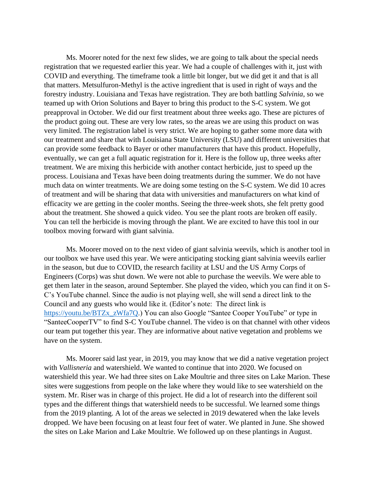Ms. Moorer noted for the next few slides, we are going to talk about the special needs registration that we requested earlier this year. We had a couple of challenges with it, just with COVID and everything. The timeframe took a little bit longer, but we did get it and that is all that matters. Metsulfuron-Methyl is the active ingredient that is used in right of ways and the forestry industry. Louisiana and Texas have registration. They are both battling *Salvinia*, so we teamed up with Orion Solutions and Bayer to bring this product to the S-C system. We got preapproval in October. We did our first treatment about three weeks ago. These are pictures of the product going out. These are very low rates, so the areas we are using this product on was very limited. The registration label is very strict. We are hoping to gather some more data with our treatment and share that with Louisiana State University (LSU) and different universities that can provide some feedback to Bayer or other manufacturers that have this product. Hopefully, eventually, we can get a full aquatic registration for it. Here is the follow up, three weeks after treatment. We are mixing this herbicide with another contact herbicide, just to speed up the process. Louisiana and Texas have been doing treatments during the summer. We do not have much data on winter treatments. We are doing some testing on the S-C system. We did 10 acres of treatment and will be sharing that data with universities and manufacturers on what kind of efficacity we are getting in the cooler months. Seeing the three-week shots, she felt pretty good about the treatment. She showed a quick video. You see the plant roots are broken off easily. You can tell the herbicide is moving through the plant. We are excited to have this tool in our toolbox moving forward with giant salvinia.

Ms. Moorer moved on to the next video of giant salvinia weevils, which is another tool in our toolbox we have used this year. We were anticipating stocking giant salvinia weevils earlier in the season, but due to COVID, the research facility at LSU and the US Army Corps of Engineers (Corps) was shut down. We were not able to purchase the weevils. We were able to get them later in the season, around September. She played the video, which you can find it on S-C's YouTube channel. Since the audio is not playing well, she will send a direct link to the Council and any guests who would like it. (Editor's note: The direct link is [https://youtu.be/BTZx\\_zWfa7Q.](https://youtu.be/BTZx_zWfa7Q)) You can also Google "Santee Cooper YouTube" or type in "SanteeCooperTV" to find S-C YouTube channel. The video is on that channel with other videos our team put together this year. They are informative about native vegetation and problems we have on the system.

Ms. Moorer said last year, in 2019, you may know that we did a native vegetation project with *Vallisneria* and watershield. We wanted to continue that into 2020. We focused on watershield this year. We had three sites on Lake Moultrie and three sites on Lake Marion. These sites were suggestions from people on the lake where they would like to see watershield on the system. Mr. Riser was in charge of this project. He did a lot of research into the different soil types and the different things that watershield needs to be successful. We learned some things from the 2019 planting. A lot of the areas we selected in 2019 dewatered when the lake levels dropped. We have been focusing on at least four feet of water. We planted in June. She showed the sites on Lake Marion and Lake Moultrie. We followed up on these plantings in August.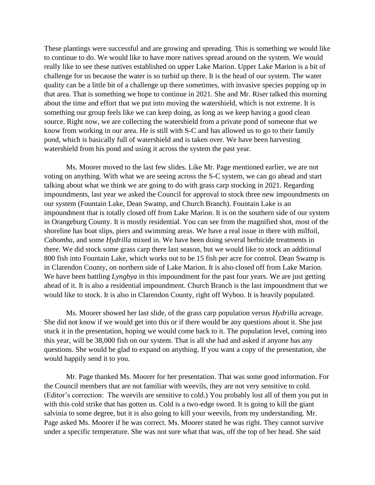These plantings were successful and are growing and spreading. This is something we would like to continue to do. We would like to have more natives spread around on the system. We would really like to see these natives established on upper Lake Marion. Upper Lake Marion is a bit of challenge for us because the water is so turbid up there. It is the head of our system. The water quality can be a little bit of a challenge up there sometimes, with invasive species popping up in that area. That is something we hope to continue in 2021. She and Mr. Riser talked this morning about the time and effort that we put into moving the watershield, which is not extreme. It is something our group feels like we can keep doing, as long as we keep having a good clean source. Right now, we are collecting the watershield from a private pond of someone that we know from working in our area. He is still with S-C and has allowed us to go to their family pond, which is basically full of watershield and is taken over. We have been harvesting watershield from his pond and using it across the system the past year.

Ms. Moorer moved to the last few slides. Like Mr. Page mentioned earlier, we are not voting on anything. With what we are seeing across the S-C system, we can go ahead and start talking about what we think we are going to do with grass carp stocking in 2021. Regarding impoundments, last year we asked the Council for approval to stock three new impoundments on our system (Fountain Lake, Dean Swamp, and Church Branch). Fountain Lake is an impoundment that is totally closed off from Lake Marion. It is on the southern side of our system in Orangeburg County. It is mostly residential. You can see from the magnified shot, most of the shoreline has boat slips, piers and swimming areas. We have a real issue in there with milfoil, *Cabomba*, and some *Hydrilla* mixed in. We have been doing several herbicide treatments in there. We did stock some grass carp there last season, but we would like to stock an additional 800 fish into Fountain Lake, which works out to be 15 fish per acre for control. Dean Swamp is in Clarendon County, on northern side of Lake Marion. It is also closed off from Lake Marion. We have been battling *Lyngbya* in this impoundment for the past four years. We are just getting ahead of it. It is also a residential impoundment. Church Branch is the last impoundment that we would like to stock. It is also in Clarendon County, right off Wyboo. It is heavily populated.

Ms. Moorer showed her last slide, of the grass carp population versus *Hydrilla* acreage. She did not know if we would get into this or if there would be any questions about it. She just stuck it in the presentation, hoping we would come back to it. The population level, coming into this year, will be 38,000 fish on our system. That is all she had and asked if anyone has any questions. She would be glad to expand on anything. If you want a copy of the presentation, she would happily send it to you.

Mr. Page thanked Ms. Moorer for her presentation. That was some good information. For the Council members that are not familiar with weevils, they are not very sensitive to cold. (Editor's correction: The weevils are sensitive to cold.) You probably lost all of them you put in with this cold strike that has gotten us. Cold is a two-edge sword. It is going to kill the giant salvinia to some degree, but it is also going to kill your weevils, from my understanding. Mr. Page asked Ms. Moorer if he was correct. Ms. Moorer stated he was right. They cannot survive under a specific temperature. She was not sure what that was, off the top of her head. She said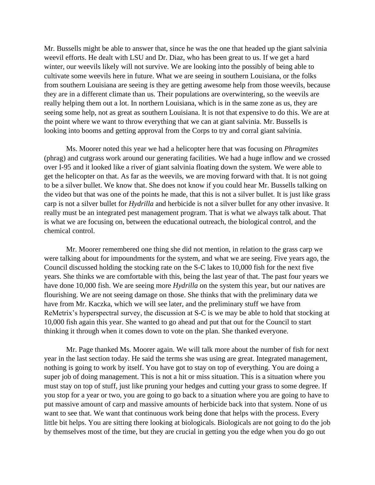Mr. Bussells might be able to answer that, since he was the one that headed up the giant salvinia weevil efforts. He dealt with LSU and Dr. Diaz, who has been great to us. If we get a hard winter, our weevils likely will not survive. We are looking into the possibly of being able to cultivate some weevils here in future. What we are seeing in southern Louisiana, or the folks from southern Louisiana are seeing is they are getting awesome help from those weevils, because they are in a different climate than us. Their populations are overwintering, so the weevils are really helping them out a lot. In northern Louisiana, which is in the same zone as us, they are seeing some help, not as great as southern Louisiana. It is not that expensive to do this. We are at the point where we want to throw everything that we can at giant salvinia. Mr. Bussells is looking into booms and getting approval from the Corps to try and corral giant salvinia.

Ms. Moorer noted this year we had a helicopter here that was focusing on *Phragmites* (phrag) and cutgrass work around our generating facilities. We had a huge inflow and we crossed over I-95 and it looked like a river of giant salvinia floating down the system. We were able to get the helicopter on that. As far as the weevils, we are moving forward with that. It is not going to be a silver bullet. We know that. She does not know if you could hear Mr. Bussells talking on the video but that was one of the points he made, that this is not a silver bullet. It is just like grass carp is not a silver bullet for *Hydrilla* and herbicide is not a silver bullet for any other invasive. It really must be an integrated pest management program. That is what we always talk about. That is what we are focusing on, between the educational outreach, the biological control, and the chemical control.

Mr. Moorer remembered one thing she did not mention, in relation to the grass carp we were talking about for impoundments for the system, and what we are seeing. Five years ago, the Council discussed holding the stocking rate on the S-C lakes to 10,000 fish for the next five years. She thinks we are comfortable with this, being the last year of that. The past four years we have done 10,000 fish. We are seeing more *Hydrilla* on the system this year, but our natives are flourishing. We are not seeing damage on those. She thinks that with the preliminary data we have from Mr. Kaczka, which we will see later, and the preliminary stuff we have from ReMetrix's hyperspectral survey, the discussion at S-C is we may be able to hold that stocking at 10,000 fish again this year. She wanted to go ahead and put that out for the Council to start thinking it through when it comes down to vote on the plan. She thanked everyone.

Mr. Page thanked Ms. Moorer again. We will talk more about the number of fish for next year in the last section today. He said the terms she was using are great. Integrated management, nothing is going to work by itself. You have got to stay on top of everything. You are doing a super job of doing management. This is not a hit or miss situation. This is a situation where you must stay on top of stuff, just like pruning your hedges and cutting your grass to some degree. If you stop for a year or two, you are going to go back to a situation where you are going to have to put massive amount of carp and massive amounts of herbicide back into that system. None of us want to see that. We want that continuous work being done that helps with the process. Every little bit helps. You are sitting there looking at biologicals. Biologicals are not going to do the job by themselves most of the time, but they are crucial in getting you the edge when you do go out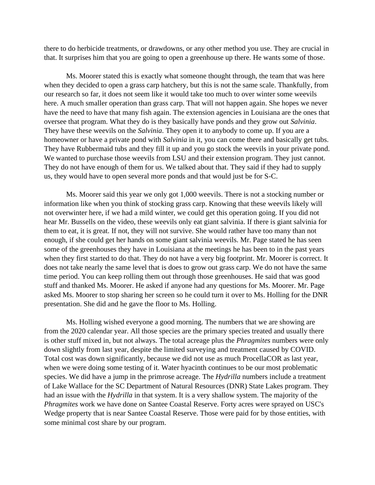there to do herbicide treatments, or drawdowns, or any other method you use. They are crucial in that. It surprises him that you are going to open a greenhouse up there. He wants some of those.

Ms. Moorer stated this is exactly what someone thought through, the team that was here when they decided to open a grass carp hatchery, but this is not the same scale. Thankfully, from our research so far, it does not seem like it would take too much to over winter some weevils here. A much smaller operation than grass carp. That will not happen again. She hopes we never have the need to have that many fish again. The extension agencies in Louisiana are the ones that oversee that program. What they do is they basically have ponds and they grow out *Salvinia*. They have these weevils on the *Salvinia*. They open it to anybody to come up. If you are a homeowner or have a private pond with *Salvinia* in it, you can come there and basically get tubs. They have Rubbermaid tubs and they fill it up and you go stock the weevils in your private pond. We wanted to purchase those weevils from LSU and their extension program. They just cannot. They do not have enough of them for us. We talked about that. They said if they had to supply us, they would have to open several more ponds and that would just be for S-C.

Ms. Moorer said this year we only got 1,000 weevils. There is not a stocking number or information like when you think of stocking grass carp. Knowing that these weevils likely will not overwinter here, if we had a mild winter, we could get this operation going. If you did not hear Mr. Bussells on the video, these weevils only eat giant salvinia. If there is giant salvinia for them to eat, it is great. If not, they will not survive. She would rather have too many than not enough, if she could get her hands on some giant salvinia weevils. Mr. Page stated he has seen some of the greenhouses they have in Louisiana at the meetings he has been to in the past years when they first started to do that. They do not have a very big footprint. Mr. Moorer is correct. It does not take nearly the same level that is does to grow out grass carp. We do not have the same time period. You can keep rolling them out through those greenhouses. He said that was good stuff and thanked Ms. Moorer. He asked if anyone had any questions for Ms. Moorer. Mr. Page asked Ms. Moorer to stop sharing her screen so he could turn it over to Ms. Holling for the DNR presentation. She did and he gave the floor to Ms. Holling.

Ms. Holling wished everyone a good morning. The numbers that we are showing are from the 2020 calendar year. All those species are the primary species treated and usually there is other stuff mixed in, but not always. The total acreage plus the *Phragmites* numbers were only down slightly from last year, despite the limited surveying and treatment caused by COVID. Total cost was down significantly, because we did not use as much ProcellaCOR as last year, when we were doing some testing of it. Water hyacinth continues to be our most problematic species. We did have a jump in the primrose acreage. The *Hydrilla* numbers include a treatment of Lake Wallace for the SC Department of Natural Resources (DNR) State Lakes program. They had an issue with the *Hydrilla* in that system. It is a very shallow system. The majority of the *Phragmites* work we have done on Santee Coastal Reserve. Forty acres were sprayed on USC's Wedge property that is near Santee Coastal Reserve. Those were paid for by those entities, with some minimal cost share by our program.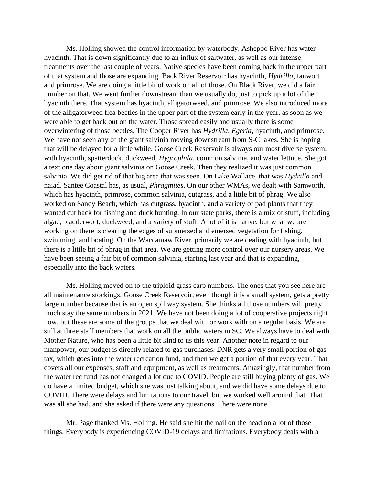Ms. Holling showed the control information by waterbody. Ashepoo River has water hyacinth. That is down significantly due to an influx of saltwater, as well as our intense treatments over the last couple of years. Native species have been coming back in the upper part of that system and those are expanding. Back River Reservoir has hyacinth, *Hydrilla*, fanwort and primrose. We are doing a little bit of work on all of those. On Black River, we did a fair number on that. We went further downstream than we usually do, just to pick up a lot of the hyacinth there. That system has hyacinth, alligatorweed, and primrose. We also introduced more of the alligatorweed flea beetles in the upper part of the system early in the year, as soon as we were able to get back out on the water. Those spread easily and usually there is some overwintering of those beetles. The Cooper River has *Hydrilla*, *Egeria*, hyacinth, and primrose. We have not seen any of the giant salvinia moving downstream from S-C lakes. She is hoping that will be delayed for a little while. Goose Creek Reservoir is always our most diverse system, with hyacinth, spatterdock, duckweed, *Hygrophila*, common salvinia, and water lettuce. She got a text one day about giant salvinia on Goose Creek. Then they realized it was just common salvinia. We did get rid of that big area that was seen. On Lake Wallace, that was *Hydrilla* and naiad. Santee Coastal has, as usual, *Phragmites*. On our other WMAs, we dealt with Samworth, which has hyacinth, primrose, common salvinia, cutgrass, and a little bit of phrag. We also worked on Sandy Beach, which has cutgrass, hyacinth, and a variety of pad plants that they wanted cut back for fishing and duck hunting. In our state parks, there is a mix of stuff, including algae, bladderwort, duckweed, and a variety of stuff. A lot of it is native, but what we are working on there is clearing the edges of submersed and emersed vegetation for fishing, swimming, and boating. On the Waccamaw River, primarily we are dealing with hyacinth, but there is a little bit of phrag in that area. We are getting more control over our nursery areas. We have been seeing a fair bit of common salvinia, starting last year and that is expanding, especially into the back waters.

Ms. Holling moved on to the triploid grass carp numbers. The ones that you see here are all maintenance stockings. Goose Creek Reservoir, even though it is a small system, gets a pretty large number because that is an open spillway system. She thinks all those numbers will pretty much stay the same numbers in 2021. We have not been doing a lot of cooperative projects right now, but these are some of the groups that we deal with or work with on a regular basis. We are still at three staff members that work on all the public waters in SC. We always have to deal with Mother Nature, who has been a little bit kind to us this year. Another note in regard to our manpower, our budget is directly related to gas purchases. DNR gets a very small portion of gas tax, which goes into the water recreation fund, and then we get a portion of that every year. That covers all our expenses, staff and equipment, as well as treatments. Amazingly, that number from the water rec fund has not changed a lot due to COVID. People are still buying plenty of gas. We do have a limited budget, which she was just talking about, and we did have some delays due to COVID. There were delays and limitations to our travel, but we worked well around that. That was all she had, and she asked if there were any questions. There were none.

Mr. Page thanked Ms. Holling. He said she hit the nail on the head on a lot of those things. Everybody is experiencing COVID-19 delays and limitations. Everybody deals with a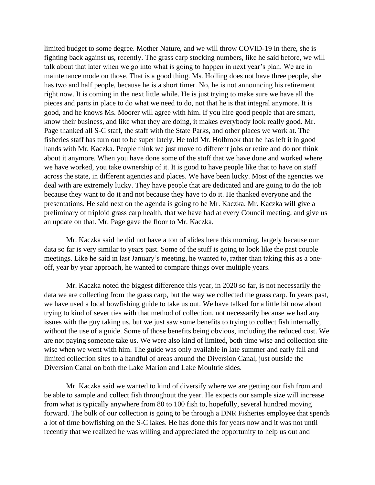limited budget to some degree. Mother Nature, and we will throw COVID-19 in there, she is fighting back against us, recently. The grass carp stocking numbers, like he said before, we will talk about that later when we go into what is going to happen in next year's plan. We are in maintenance mode on those. That is a good thing. Ms. Holling does not have three people, she has two and half people, because he is a short timer. No, he is not announcing his retirement right now. It is coming in the next little while. He is just trying to make sure we have all the pieces and parts in place to do what we need to do, not that he is that integral anymore. It is good, and he knows Ms. Moorer will agree with him. If you hire good people that are smart, know their business, and like what they are doing, it makes everybody look really good. Mr. Page thanked all S-C staff, the staff with the State Parks, and other places we work at. The fisheries staff has turn out to be super lately. He told Mr. Holbrook that he has left it in good hands with Mr. Kaczka. People think we just move to different jobs or retire and do not think about it anymore. When you have done some of the stuff that we have done and worked where we have worked, you take ownership of it. It is good to have people like that to have on staff across the state, in different agencies and places. We have been lucky. Most of the agencies we deal with are extremely lucky. They have people that are dedicated and are going to do the job because they want to do it and not because they have to do it. He thanked everyone and the presentations. He said next on the agenda is going to be Mr. Kaczka. Mr. Kaczka will give a preliminary of triploid grass carp health, that we have had at every Council meeting, and give us an update on that. Mr. Page gave the floor to Mr. Kaczka.

Mr. Kaczka said he did not have a ton of slides here this morning, largely because our data so far is very similar to years past. Some of the stuff is going to look like the past couple meetings. Like he said in last January's meeting, he wanted to, rather than taking this as a oneoff, year by year approach, he wanted to compare things over multiple years.

Mr. Kaczka noted the biggest difference this year, in 2020 so far, is not necessarily the data we are collecting from the grass carp, but the way we collected the grass carp. In years past, we have used a local bowfishing guide to take us out. We have talked for a little bit now about trying to kind of sever ties with that method of collection, not necessarily because we had any issues with the guy taking us, but we just saw some benefits to trying to collect fish internally, without the use of a guide. Some of those benefits being obvious, including the reduced cost. We are not paying someone take us. We were also kind of limited, both time wise and collection site wise when we went with him. The guide was only available in late summer and early fall and limited collection sites to a handful of areas around the Diversion Canal, just outside the Diversion Canal on both the Lake Marion and Lake Moultrie sides.

Mr. Kaczka said we wanted to kind of diversify where we are getting our fish from and be able to sample and collect fish throughout the year. He expects our sample size will increase from what is typically anywhere from 80 to 100 fish to, hopefully, several hundred moving forward. The bulk of our collection is going to be through a DNR Fisheries employee that spends a lot of time bowfishing on the S-C lakes. He has done this for years now and it was not until recently that we realized he was willing and appreciated the opportunity to help us out and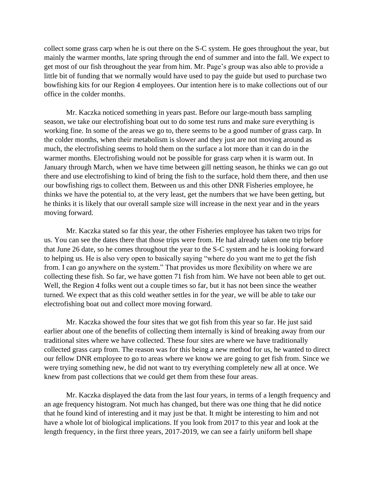collect some grass carp when he is out there on the S-C system. He goes throughout the year, but mainly the warmer months, late spring through the end of summer and into the fall. We expect to get most of our fish throughout the year from him. Mr. Page's group was also able to provide a little bit of funding that we normally would have used to pay the guide but used to purchase two bowfishing kits for our Region 4 employees. Our intention here is to make collections out of our office in the colder months.

Mr. Kaczka noticed something in years past. Before our large-mouth bass sampling season, we take our electrofishing boat out to do some test runs and make sure everything is working fine. In some of the areas we go to, there seems to be a good number of grass carp. In the colder months, when their metabolism is slower and they just are not moving around as much, the electrofishing seems to hold them on the surface a lot more than it can do in the warmer months. Electrofishing would not be possible for grass carp when it is warm out. In January through March, when we have time between gill netting season, he thinks we can go out there and use electrofishing to kind of bring the fish to the surface, hold them there, and then use our bowfishing rigs to collect them. Between us and this other DNR Fisheries employee, he thinks we have the potential to, at the very least, get the numbers that we have been getting, but he thinks it is likely that our overall sample size will increase in the next year and in the years moving forward.

Mr. Kaczka stated so far this year, the other Fisheries employee has taken two trips for us. You can see the dates there that those trips were from. He had already taken one trip before that June 26 date, so he comes throughout the year to the S-C system and he is looking forward to helping us. He is also very open to basically saying "where do you want me to get the fish from. I can go anywhere on the system." That provides us more flexibility on where we are collecting these fish. So far, we have gotten 71 fish from him. We have not been able to get out. Well, the Region 4 folks went out a couple times so far, but it has not been since the weather turned. We expect that as this cold weather settles in for the year, we will be able to take our electrofishing boat out and collect more moving forward.

Mr. Kaczka showed the four sites that we got fish from this year so far. He just said earlier about one of the benefits of collecting them internally is kind of breaking away from our traditional sites where we have collected. These four sites are where we have traditionally collected grass carp from. The reason was for this being a new method for us, he wanted to direct our fellow DNR employee to go to areas where we know we are going to get fish from. Since we were trying something new, he did not want to try everything completely new all at once. We knew from past collections that we could get them from these four areas.

Mr. Kaczka displayed the data from the last four years, in terms of a length frequency and an age frequency histogram. Not much has changed, but there was one thing that he did notice that he found kind of interesting and it may just be that. It might be interesting to him and not have a whole lot of biological implications. If you look from 2017 to this year and look at the length frequency, in the first three years, 2017-2019, we can see a fairly uniform bell shape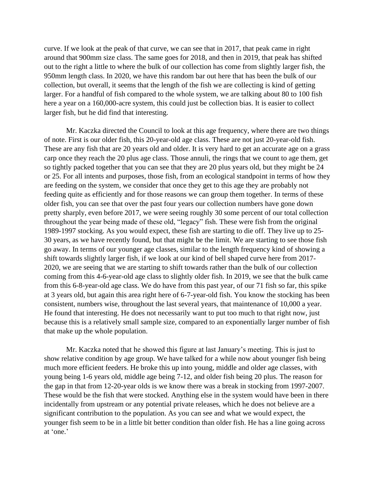curve. If we look at the peak of that curve, we can see that in 2017, that peak came in right around that 900mm size class. The same goes for 2018, and then in 2019, that peak has shifted out to the right a little to where the bulk of our collection has come from slightly larger fish, the 950mm length class. In 2020, we have this random bar out here that has been the bulk of our collection, but overall, it seems that the length of the fish we are collecting is kind of getting larger. For a handful of fish compared to the whole system, we are talking about 80 to 100 fish here a year on a 160,000-acre system, this could just be collection bias. It is easier to collect larger fish, but he did find that interesting.

Mr. Kaczka directed the Council to look at this age frequency, where there are two things of note. First is our older fish, this 20-year-old age class. These are not just 20-year-old fish. These are any fish that are 20 years old and older. It is very hard to get an accurate age on a grass carp once they reach the 20 plus age class. Those annuli, the rings that we count to age them, get so tightly packed together that you can see that they are 20 plus years old, but they might be 24 or 25. For all intents and purposes, those fish, from an ecological standpoint in terms of how they are feeding on the system, we consider that once they get to this age they are probably not feeding quite as efficiently and for those reasons we can group them together. In terms of these older fish, you can see that over the past four years our collection numbers have gone down pretty sharply, even before 2017, we were seeing roughly 30 some percent of our total collection throughout the year being made of these old, "legacy" fish. These were fish from the original 1989-1997 stocking. As you would expect, these fish are starting to die off. They live up to 25- 30 years, as we have recently found, but that might be the limit. We are starting to see those fish go away. In terms of our younger age classes, similar to the length frequency kind of showing a shift towards slightly larger fish, if we look at our kind of bell shaped curve here from 2017- 2020, we are seeing that we are starting to shift towards rather than the bulk of our collection coming from this 4-6-year-old age class to slightly older fish. In 2019, we see that the bulk came from this 6-8-year-old age class. We do have from this past year, of our 71 fish so far, this spike at 3 years old, but again this area right here of 6-7-year-old fish. You know the stocking has been consistent, numbers wise, throughout the last several years, that maintenance of 10,000 a year. He found that interesting. He does not necessarily want to put too much to that right now, just because this is a relatively small sample size, compared to an exponentially larger number of fish that make up the whole population.

Mr. Kaczka noted that he showed this figure at last January's meeting. This is just to show relative condition by age group. We have talked for a while now about younger fish being much more efficient feeders. He broke this up into young, middle and older age classes, with young being 1-6 years old, middle age being 7-12, and older fish being 20 plus. The reason for the gap in that from 12-20-year olds is we know there was a break in stocking from 1997-2007. These would be the fish that were stocked. Anything else in the system would have been in there incidentally from upstream or any potential private releases, which he does not believe are a significant contribution to the population. As you can see and what we would expect, the younger fish seem to be in a little bit better condition than older fish. He has a line going across at 'one.'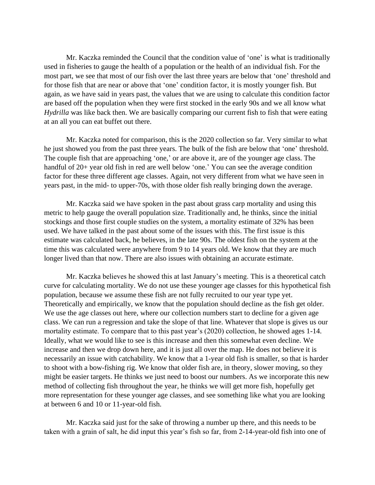Mr. Kaczka reminded the Council that the condition value of 'one' is what is traditionally used in fisheries to gauge the health of a population or the health of an individual fish. For the most part, we see that most of our fish over the last three years are below that 'one' threshold and for those fish that are near or above that 'one' condition factor, it is mostly younger fish. But again, as we have said in years past, the values that we are using to calculate this condition factor are based off the population when they were first stocked in the early 90s and we all know what *Hydrilla* was like back then. We are basically comparing our current fish to fish that were eating at an all you can eat buffet out there.

Mr. Kaczka noted for comparison, this is the 2020 collection so far. Very similar to what he just showed you from the past three years. The bulk of the fish are below that 'one' threshold. The couple fish that are approaching 'one,' or are above it, are of the younger age class. The handful of 20+ year old fish in red are well below 'one.' You can see the average condition factor for these three different age classes. Again, not very different from what we have seen in years past, in the mid- to upper-70s, with those older fish really bringing down the average.

Mr. Kaczka said we have spoken in the past about grass carp mortality and using this metric to help gauge the overall population size. Traditionally and, he thinks, since the initial stockings and those first couple studies on the system, a mortality estimate of 32% has been used. We have talked in the past about some of the issues with this. The first issue is this estimate was calculated back, he believes, in the late 90s. The oldest fish on the system at the time this was calculated were anywhere from 9 to 14 years old. We know that they are much longer lived than that now. There are also issues with obtaining an accurate estimate.

Mr. Kaczka believes he showed this at last January's meeting. This is a theoretical catch curve for calculating mortality. We do not use these younger age classes for this hypothetical fish population, because we assume these fish are not fully recruited to our year type yet. Theoretically and empirically, we know that the population should decline as the fish get older. We use the age classes out here, where our collection numbers start to decline for a given age class. We can run a regression and take the slope of that line. Whatever that slope is gives us our mortality estimate. To compare that to this past year's (2020) collection, he showed ages 1-14. Ideally, what we would like to see is this increase and then this somewhat even decline. We increase and then we drop down here, and it is just all over the map. He does not believe it is necessarily an issue with catchability. We know that a 1-year old fish is smaller, so that is harder to shoot with a bow-fishing rig. We know that older fish are, in theory, slower moving, so they might be easier targets. He thinks we just need to boost our numbers. As we incorporate this new method of collecting fish throughout the year, he thinks we will get more fish, hopefully get more representation for these younger age classes, and see something like what you are looking at between 6 and 10 or 11-year-old fish.

Mr. Kaczka said just for the sake of throwing a number up there, and this needs to be taken with a grain of salt, he did input this year's fish so far, from 2-14-year-old fish into one of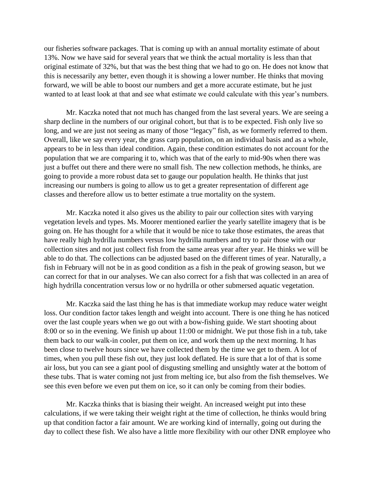our fisheries software packages. That is coming up with an annual mortality estimate of about 13%. Now we have said for several years that we think the actual mortality is less than that original estimate of 32%, but that was the best thing that we had to go on. He does not know that this is necessarily any better, even though it is showing a lower number. He thinks that moving forward, we will be able to boost our numbers and get a more accurate estimate, but he just wanted to at least look at that and see what estimate we could calculate with this year's numbers.

Mr. Kaczka noted that not much has changed from the last several years. We are seeing a sharp decline in the numbers of our original cohort, but that is to be expected. Fish only live so long, and we are just not seeing as many of those "legacy" fish, as we formerly referred to them. Overall, like we say every year, the grass carp population, on an individual basis and as a whole, appears to be in less than ideal condition. Again, these condition estimates do not account for the population that we are comparing it to, which was that of the early to mid-90s when there was just a buffet out there and there were no small fish. The new collection methods, he thinks, are going to provide a more robust data set to gauge our population health. He thinks that just increasing our numbers is going to allow us to get a greater representation of different age classes and therefore allow us to better estimate a true mortality on the system.

Mr. Kaczka noted it also gives us the ability to pair our collection sites with varying vegetation levels and types. Ms. Moorer mentioned earlier the yearly satellite imagery that is be going on. He has thought for a while that it would be nice to take those estimates, the areas that have really high hydrilla numbers versus low hydrilla numbers and try to pair those with our collection sites and not just collect fish from the same areas year after year. He thinks we will be able to do that. The collections can be adjusted based on the different times of year. Naturally, a fish in February will not be in as good condition as a fish in the peak of growing season, but we can correct for that in our analyses. We can also correct for a fish that was collected in an area of high hydrilla concentration versus low or no hydrilla or other submersed aquatic vegetation.

Mr. Kaczka said the last thing he has is that immediate workup may reduce water weight loss. Our condition factor takes length and weight into account. There is one thing he has noticed over the last couple years when we go out with a bow-fishing guide. We start shooting about 8:00 or so in the evening. We finish up about 11:00 or midnight. We put those fish in a tub, take them back to our walk-in cooler, put them on ice, and work them up the next morning. It has been close to twelve hours since we have collected them by the time we get to them. A lot of times, when you pull these fish out, they just look deflated. He is sure that a lot of that is some air loss, but you can see a giant pool of disgusting smelling and unsightly water at the bottom of these tubs. That is water coming not just from melting ice, but also from the fish themselves. We see this even before we even put them on ice, so it can only be coming from their bodies.

Mr. Kaczka thinks that is biasing their weight. An increased weight put into these calculations, if we were taking their weight right at the time of collection, he thinks would bring up that condition factor a fair amount. We are working kind of internally, going out during the day to collect these fish. We also have a little more flexibility with our other DNR employee who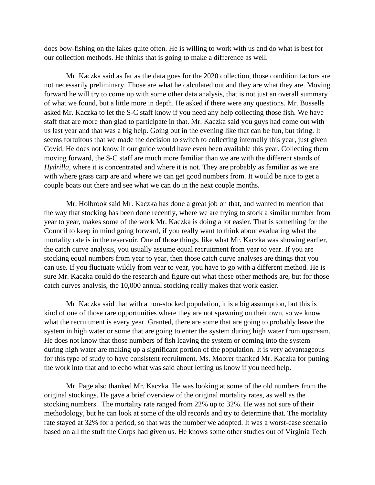does bow-fishing on the lakes quite often. He is willing to work with us and do what is best for our collection methods. He thinks that is going to make a difference as well.

Mr. Kaczka said as far as the data goes for the 2020 collection, those condition factors are not necessarily preliminary. Those are what he calculated out and they are what they are. Moving forward he will try to come up with some other data analysis, that is not just an overall summary of what we found, but a little more in depth. He asked if there were any questions. Mr. Bussells asked Mr. Kaczka to let the S-C staff know if you need any help collecting those fish. We have staff that are more than glad to participate in that. Mr. Kaczka said you guys had come out with us last year and that was a big help. Going out in the evening like that can be fun, but tiring. It seems fortuitous that we made the decision to switch to collecting internally this year, just given Covid. He does not know if our guide would have even been available this year. Collecting them moving forward, the S-C staff are much more familiar than we are with the different stands of *Hydrilla*, where it is concentrated and where it is not. They are probably as familiar as we are with where grass carp are and where we can get good numbers from. It would be nice to get a couple boats out there and see what we can do in the next couple months.

Mr. Holbrook said Mr. Kaczka has done a great job on that, and wanted to mention that the way that stocking has been done recently, where we are trying to stock a similar number from year to year, makes some of the work Mr. Kaczka is doing a lot easier. That is something for the Council to keep in mind going forward, if you really want to think about evaluating what the mortality rate is in the reservoir. One of those things, like what Mr. Kaczka was showing earlier, the catch curve analysis, you usually assume equal recruitment from year to year. If you are stocking equal numbers from year to year, then those catch curve analyses are things that you can use. If you fluctuate wildly from year to year, you have to go with a different method. He is sure Mr. Kaczka could do the research and figure out what those other methods are, but for those catch curves analysis, the 10,000 annual stocking really makes that work easier.

Mr. Kaczka said that with a non-stocked population, it is a big assumption, but this is kind of one of those rare opportunities where they are not spawning on their own, so we know what the recruitment is every year. Granted, there are some that are going to probably leave the system in high water or some that are going to enter the system during high water from upstream. He does not know that those numbers of fish leaving the system or coming into the system during high water are making up a significant portion of the population. It is very advantageous for this type of study to have consistent recruitment. Ms. Moorer thanked Mr. Kaczka for putting the work into that and to echo what was said about letting us know if you need help.

Mr. Page also thanked Mr. Kaczka. He was looking at some of the old numbers from the original stockings. He gave a brief overview of the original mortality rates, as well as the stocking numbers. The mortality rate ranged from 22% up to 32%. He was not sure of their methodology, but he can look at some of the old records and try to determine that. The mortality rate stayed at 32% for a period, so that was the number we adopted. It was a worst-case scenario based on all the stuff the Corps had given us. He knows some other studies out of Virginia Tech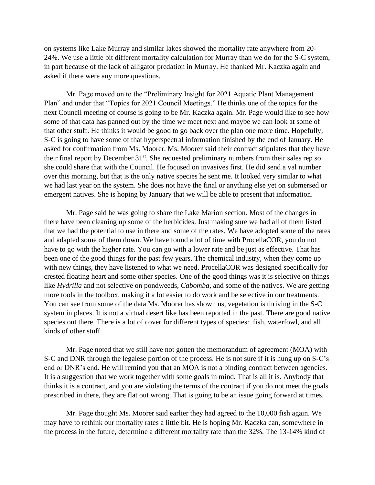on systems like Lake Murray and similar lakes showed the mortality rate anywhere from 20- 24%. We use a little bit different mortality calculation for Murray than we do for the S-C system, in part because of the lack of alligator predation in Murray. He thanked Mr. Kaczka again and asked if there were any more questions.

Mr. Page moved on to the "Preliminary Insight for 2021 Aquatic Plant Management Plan" and under that "Topics for 2021 Council Meetings." He thinks one of the topics for the next Council meeting of course is going to be Mr. Kaczka again. Mr. Page would like to see how some of that data has panned out by the time we meet next and maybe we can look at some of that other stuff. He thinks it would be good to go back over the plan one more time. Hopefully, S-C is going to have some of that hyperspectral information finished by the end of January. He asked for confirmation from Ms. Moorer. Ms. Moorer said their contract stipulates that they have their final report by December 31<sup>st</sup>. She requested preliminary numbers from their sales rep so she could share that with the Council. He focused on invasives first. He did send a val number over this morning, but that is the only native species he sent me. It looked very similar to what we had last year on the system. She does not have the final or anything else yet on submersed or emergent natives. She is hoping by January that we will be able to present that information.

Mr. Page said he was going to share the Lake Marion section. Most of the changes in there have been cleaning up some of the herbicides. Just making sure we had all of them listed that we had the potential to use in there and some of the rates. We have adopted some of the rates and adapted some of them down. We have found a lot of time with ProcellaCOR, you do not have to go with the higher rate. You can go with a lower rate and be just as effective. That has been one of the good things for the past few years. The chemical industry, when they come up with new things, they have listened to what we need. ProcellaCOR was designed specifically for crested floating heart and some other species. One of the good things was it is selective on things like *Hydrilla* and not selective on pondweeds, *Cabomba*, and some of the natives. We are getting more tools in the toolbox, making it a lot easier to do work and be selective in our treatments. You can see from some of the data Ms. Moorer has shown us, vegetation is thriving in the S-C system in places. It is not a virtual desert like has been reported in the past. There are good native species out there. There is a lot of cover for different types of species: fish, waterfowl, and all kinds of other stuff.

Mr. Page noted that we still have not gotten the memorandum of agreement (MOA) with S-C and DNR through the legalese portion of the process. He is not sure if it is hung up on S-C's end or DNR's end. He will remind you that an MOA is not a binding contract between agencies. It is a suggestion that we work together with some goals in mind. That is all it is. Anybody that thinks it is a contract, and you are violating the terms of the contract if you do not meet the goals prescribed in there, they are flat out wrong. That is going to be an issue going forward at times.

Mr. Page thought Ms. Moorer said earlier they had agreed to the 10,000 fish again. We may have to rethink our mortality rates a little bit. He is hoping Mr. Kaczka can, somewhere in the process in the future, determine a different mortality rate than the 32%. The 13-14% kind of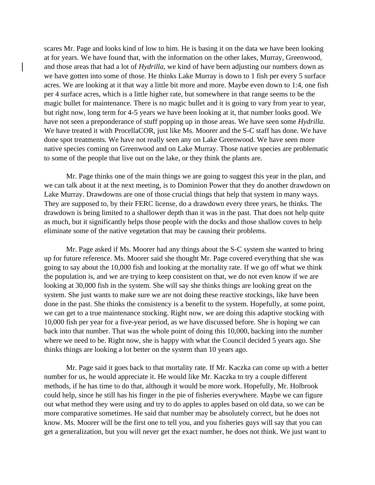scares Mr. Page and looks kind of low to him. He is basing it on the data we have been looking at for years. We have found that, with the information on the other lakes, Murray, Greenwood, and those areas that had a lot of *Hydrilla*, we kind of have been adjusting our numbers down as we have gotten into some of those. He thinks Lake Murray is down to 1 fish per every 5 surface acres. We are looking at it that way a little bit more and more. Maybe even down to 1:4, one fish per 4 surface acres, which is a little higher rate, but somewhere in that range seems to be the magic bullet for maintenance. There is no magic bullet and it is going to vary from year to year, but right now, long term for 4-5 years we have been looking at it, that number looks good. We have not seen a preponderance of stuff popping up in those areas. We have seen some *Hydrilla*. We have treated it with ProcellaCOR, just like Ms. Moorer and the S-C staff has done. We have done spot treatments. We have not really seen any on Lake Greenwood. We have seen more native species coming on Greenwood and on Lake Murray. Those native species are problematic to some of the people that live out on the lake, or they think the plants are.

Mr. Page thinks one of the main things we are going to suggest this year in the plan, and we can talk about it at the next meeting, is to Dominion Power that they do another drawdown on Lake Murray. Drawdowns are one of those crucial things that help that system in many ways. They are supposed to, by their FERC license, do a drawdown every three years, he thinks. The drawdown is being limited to a shallower depth than it was in the past. That does not help quite as much, but it significantly helps those people with the docks and those shallow coves to help eliminate some of the native vegetation that may be causing their problems.

Mr. Page asked if Ms. Moorer had any things about the S-C system she wanted to bring up for future reference. Ms. Moorer said she thought Mr. Page covered everything that she was going to say about the 10,000 fish and looking at the mortality rate. If we go off what we think the population is, and we are trying to keep consistent on that, we do not even know if we are looking at 30,000 fish in the system. She will say she thinks things are looking great on the system. She just wants to make sure we are not doing these reactive stockings, like have been done in the past. She thinks the consistency is a benefit to the system. Hopefully, at some point, we can get to a true maintenance stocking. Right now, we are doing this adaptive stocking with 10,000 fish per year for a five-year period, as we have discussed before. She is hoping we can back into that number. That was the whole point of doing this 10,000, backing into the number where we need to be. Right now, she is happy with what the Council decided 5 years ago. She thinks things are looking a lot better on the system than 10 years ago.

Mr. Page said it goes back to that mortality rate. If Mr. Kaczka can come up with a better number for us, he would appreciate it. He would like Mr. Kaczka to try a couple different methods, if he has time to do that, although it would be more work. Hopefully, Mr. Holbrook could help, since he still has his finger in the pie of fisheries everywhere. Maybe we can figure out what method they were using and try to do apples to apples based on old data, so we can be more comparative sometimes. He said that number may be absolutely correct, but he does not know. Ms. Moorer will be the first one to tell you, and you fisheries guys will say that you can get a generalization, but you will never get the exact number, he does not think. We just want to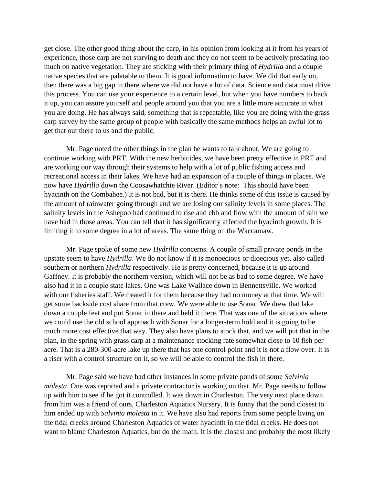get close. The other good thing about the carp, in his opinion from looking at it from his years of experience, those carp are not starving to death and they do not seem to be actively predating too much on native vegetation. They are sticking with their primary thing of *Hydrilla* and a couple native species that are palatable to them. It is good information to have. We did that early on, then there was a big gap in there where we did not have a lot of data. Science and data must drive this process. You can use your experience to a certain level, but when you have numbers to back it up, you can assure yourself and people around you that you are a little more accurate in what you are doing. He has always said, something that is repeatable, like you are doing with the grass carp survey by the same group of people with basically the same methods helps an awful lot to get that out there to us and the public.

Mr. Page noted the other things in the plan he wants to talk about. We are going to continue working with PRT. With the new herbicides, we have been pretty effective in PRT and are working our way through their systems to help with a lot of public fishing access and recreational access in their lakes. We have had an expansion of a couple of things in places. We now have *Hydrilla* down the Coosawhatchie River. (Editor's note: This should have been hyacinth on the Combahee.) It is not bad, but it is there. He thinks some of this issue is caused by the amount of rainwater going through and we are losing our salinity levels in some places. The salinity levels in the Ashepoo had continued to rise and ebb and flow with the amount of rain we have had in those areas. You can tell that it has significantly affected the hyacinth growth. It is limiting it to some degree in a lot of areas. The same thing on the Waccamaw.

Mr. Page spoke of some new *Hydrilla* concerns. A couple of small private ponds in the upstate seem to have *Hydrilla*. We do not know if it is monoecious or dioecious yet, also called southern or northern *Hydrilla* respectively. He is pretty concerned, because it is up around Gaffney. It is probably the northern version, which will not be as bad to some degree. We have also had it in a couple state lakes. One was Lake Wallace down in Bennettsville. We worked with our fisheries staff. We treated it for them because they had no money at that time. We will get some backside cost share from that crew. We were able to use Sonar. We drew that lake down a couple feet and put Sonar in there and held it there. That was one of the situations where we could use the old school approach with Sonar for a longer-term hold and it is going to be much more cost effective that way. They also have plans to stock that, and we will put that in the plan, in the spring with grass carp at a maintenance stocking rate somewhat close to 10 fish per acre. That is a 280-300-acre lake up there that has one control point and it is not a flow over. It is a riser with a control structure on it, so we will be able to control the fish in there.

Mr. Page said we have had other instances in some private ponds of some *Salvinia molesta*. One was reported and a private contractor is working on that. Mr. Page needs to follow up with him to see if he got it controlled. It was down in Charleston. The very next place down from him was a friend of ours, Charleston Aquatics Nursery. It is funny that the pond closest to him ended up with *Salvinia molesta* in it. We have also had reports from some people living on the tidal creeks around Charleston Aquatics of water hyacinth in the tidal creeks. He does not want to blame Charleston Aquatics, but do the math. It is the closest and probably the most likely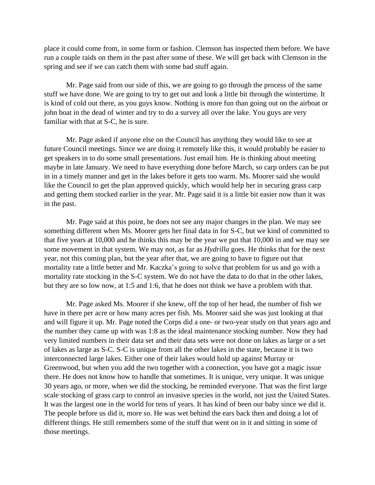place it could come from, in some form or fashion. Clemson has inspected them before. We have run a couple raids on them in the past after some of these. We will get back with Clemson in the spring and see if we can catch them with some bad stuff again.

Mr. Page said from our side of this, we are going to go through the process of the same stuff we have done. We are going to try to get out and look a little bit through the wintertime. It is kind of cold out there, as you guys know. Nothing is more fun than going out on the airboat or john boat in the dead of winter and try to do a survey all over the lake. You guys are very familiar with that at S-C, he is sure.

Mr. Page asked if anyone else on the Council has anything they would like to see at future Council meetings. Since we are doing it remotely like this, it would probably be easier to get speakers in to do some small presentations. Just email him. He is thinking about meeting maybe in late January. We need to have everything done before March, so carp orders can be put in in a timely manner and get in the lakes before it gets too warm. Ms. Moorer said she would like the Council to get the plan approved quickly, which would help her in securing grass carp and getting them stocked earlier in the year. Mr. Page said it is a little bit easier now than it was in the past.

Mr. Page said at this point, he does not see any major changes in the plan. We may see something different when Ms. Moorer gets her final data in for S-C, but we kind of committed to that five years at 10,000 and he thinks this may be the year we put that 10,000 in and we may see some movement in that system. We may not, as far as *Hydrilla* goes. He thinks that for the next year, not this coming plan, but the year after that, we are going to have to figure out that mortality rate a little better and Mr. Kaczka's going to solve that problem for us and go with a mortality rate stocking in the S-C system. We do not have the data to do that in the other lakes, but they are so low now, at 1:5 and 1:6, that he does not think we have a problem with that.

Mr. Page asked Ms. Moorer if she knew, off the top of her head, the number of fish we have in there per acre or how many acres per fish. Ms. Moorer said she was just looking at that and will figure it up. Mr. Page noted the Corps did a one- or two-year study on that years ago and the number they came up with was 1:8 as the ideal maintenance stocking number. Now they had very limited numbers in their data set and their data sets were not done on lakes as large or a set of lakes as large as S-C. S-C is unique from all the other lakes in the state, because it is two interconnected large lakes. Either one of their lakes would hold up against Murray or Greenwood, but when you add the two together with a connection, you have got a magic issue there. He does not know how to handle that sometimes. It is unique, very unique. It was unique 30 years ago, or more, when we did the stocking, he reminded everyone. That was the first large scale stocking of grass carp to control an invasive species in the world, not just the United States. It was the largest one in the world for tens of years. It has kind of been our baby since we did it. The people before us did it, more so. He was wet behind the ears back then and doing a lot of different things. He still remembers some of the stuff that went on in it and sitting in some of those meetings.